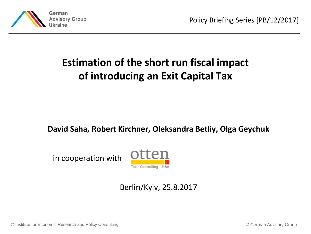

# **Estimation of the short run fiscal impact of introducing an Exit Capital Tax**

#### **David Saha, Robert Kirchner, Oleksandra Betliy, Olga Geychuk**

in cooperation with



#### Berlin/Kyiv, 25.8.2017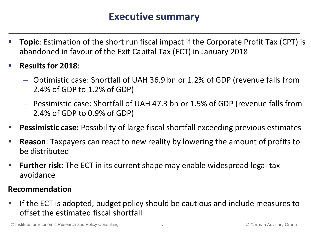#### **Executive summary**

- **Topic**: Estimation of the short run fiscal impact if the Corporate Profit Tax (CPT) is abandoned in favour of the Exit Capital Tax (ECT) in January 2018
- **Results for 2018**:
	- Optimistic case: Shortfall of UAH 36.9 bn or 1.2% of GDP (revenue falls from 2.4% of GDP to 1.2% of GDP)
	- Pessimistic case: Shortfall of UAH 47.3 bn or 1.5% of GDP (revenue falls from 2.4% of GDP to 0.9% of GDP)
- **Pessimistic case:** Possibility of large fiscal shortfall exceeding previous estimates
- **Reason**: Taxpayers can react to new reality by lowering the amount of profits to be distributed
- **Further risk:** The ECT in its current shape may enable widespread legal tax avoidance

#### **Recommendation**

 If the ECT is adopted, budget policy should be cautious and include measures to offset the estimated fiscal shortfall

© Institute for Economic Research and Policy Consulting © German Advisory Group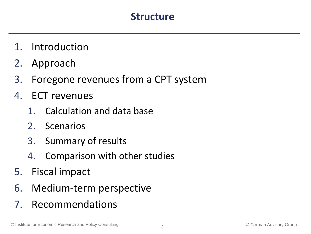#### **Structure**

- 1. Introduction
- 2. Approach
- 3. Foregone revenues from a CPT system
- 4. ECT revenues
	- 1. Calculation and data base
	- 2. Scenarios
	- 3. Summary of results
	- 4. Comparison with other studies
- 5. Fiscal impact
- 6. Medium-term perspective
- 7. Recommendations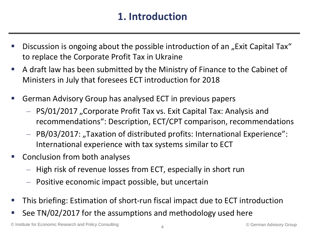### **1. Introduction**

- Discussion is ongoing about the possible introduction of an "Exit Capital Tax" to replace the Corporate Profit Tax in Ukraine
- A draft law has been submitted by the Ministry of Finance to the Cabinet of Ministers in July that foresees ECT introduction for 2018
- German Advisory Group has analysed ECT in previous papers
	- $-$  PS/01/2017 "Corporate Profit Tax vs. Exit Capital Tax: Analysis and recommendations": Description, ECT/CPT comparison, recommendations
	- $-$  PB/03/2017: "Taxation of distributed profits: International Experience": International experience with tax systems similar to ECT
- **Conclusion from both analyses** 
	- High risk of revenue losses from ECT, especially in short run
	- Positive economic impact possible, but uncertain
- This briefing: Estimation of short-run fiscal impact due to ECT introduction
- See TN/02/2017 for the assumptions and methodology used here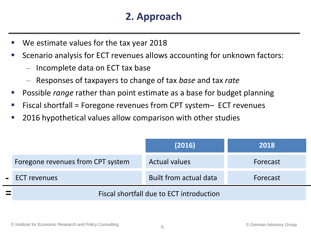## **2. Approach**

- We estimate values for the tax year 2018
- Scenario analysis for ECT revenues allows accounting for unknown factors:
	- Incomplete data on ECT tax base
	- Responses of taxpayers to change of tax *base* and tax *rate*
- Possible *range* rather than point estimate as a base for budget planning
- Fiscal shortfall = Foregone revenues from CPT system– ECT revenues
- 2016 hypothetical values allow comparison with other studies

|                                          | (2016)                 | 2018     |  |
|------------------------------------------|------------------------|----------|--|
| Foregone revenues from CPT system        | <b>Actual values</b>   | Forecast |  |
| - ECT revenues                           | Built from actual data | Forecast |  |
| Fiscal shortfall due to ECT introduction |                        |          |  |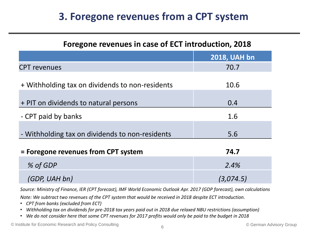## **3. Foregone revenues from a CPT system**

| Foregone revenues in case of ECT introduction, 2018 |                     |  |  |
|-----------------------------------------------------|---------------------|--|--|
|                                                     | <b>2018, UAH bn</b> |  |  |
| <b>CPT</b> revenues                                 | 70.7                |  |  |
| + Withholding tax on dividends to non-residents     | 10.6                |  |  |
| + PIT on dividends to natural persons               | 0.4                 |  |  |
| - CPT paid by banks                                 | 1.6                 |  |  |
| - Withholding tax on dividends to non-residents     | 5.6                 |  |  |
| = Foregone revenues from CPT system                 | 74.7                |  |  |
| % of GDP                                            | 2.4%                |  |  |
| (GDP, UAH bn)                                       | (3,074.5)           |  |  |

*Source: Ministry of Finance, IER (CPT forecast), IMF World Economic Outlook Apr. 2017 (GDP forecast), own calculations*

*Note: We subtract two revenues of the CPT system that would be received in 2018 despite ECT introduction.* 

- *CPT from banks (excluded from ECT)*
- *Withholding tax on dividends for pre-2018 tax years paid out in 2018 due relaxed NBU restrictions (assumption)*
- *We do not consider here that some CPT revenues for 2017 profits would only be paid to the budget in 2018*

© Institute for Economic Research and Policy Consulting © German Advisory Group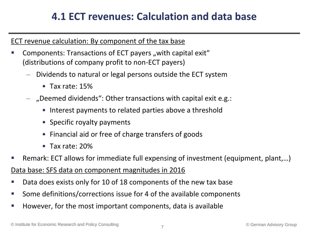### **4.1 ECT revenues: Calculation and data base**

#### ECT revenue calculation: By component of the tax base

- Components: Transactions of ECT payers "with capital exit" (distributions of company profit to non-ECT payers)
	- Dividends to natural or legal persons outside the ECT system
		- Tax rate: 15%
	- $-$  , Deemed dividends": Other transactions with capital exit e.g.:
		- Interest payments to related parties above a threshold
		- Specific royalty payments
		- Financial aid or free of charge transfers of goods
		- Tax rate: 20%
- Remark: ECT allows for immediate full expensing of investment (equipment, plant,…)

Data base: SFS data on component magnitudes in 2016

- Data does exists only for 10 of 18 components of the new tax base
- Some definitions/corrections issue for 4 of the available components
- However, for the most important components, data is available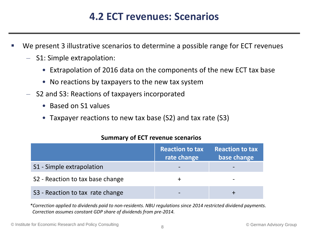#### **4.2 ECT revenues: Scenarios**

- We present 3 illustrative scenarios to determine a possible range for ECT revenues
	- S1: Simple extrapolation:
		- Extrapolation of 2016 data on the components of the new ECT tax base
		- No reactions by taxpayers to the new tax system
	- S2 and S3: Reactions of taxpayers incorporated
		- Based on S1 values
		- Taxpayer reactions to new tax base (S2) and tax rate (S3)

|                                  | <b>Reaction to tax</b><br>rate change | <b>Reaction to tax</b><br>base change |
|----------------------------------|---------------------------------------|---------------------------------------|
| S1 - Simple extrapolation        |                                       |                                       |
| S2 - Reaction to tax base change |                                       |                                       |
| S3 - Reaction to tax rate change |                                       |                                       |

#### **Summary of ECT revenue scenarios**

*\*Correction applied to dividends paid to non-residents. NBU regulations since 2014 restricted dividend payments. Correction assumes constant GDP share of dividends from pre-2014.*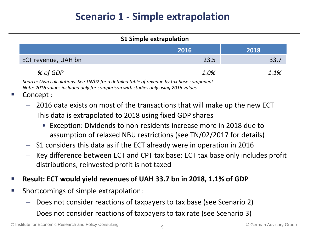# **Scenario 1 - Simple extrapolation**

| <b>S1 Simple extrapolation</b>                                                                                                                                                  |      |      |  |  |
|---------------------------------------------------------------------------------------------------------------------------------------------------------------------------------|------|------|--|--|
| 2016<br>2018                                                                                                                                                                    |      |      |  |  |
| ECT revenue, UAH bn                                                                                                                                                             | 23.5 | 33.7 |  |  |
| % of GDP                                                                                                                                                                        | 1.0% | 1.1% |  |  |
| Source: Own calculations. See TN/02 for a detailed table of revenue by tax base component<br>Note: 2016 values included only for comparison with studies only using 2016 values |      |      |  |  |

Concept :

- 2016 data exists on most of the transactions that will make up the new ECT
- This data is extrapolated to 2018 using fixed GDP shares
	- Exception: Dividends to non-residents increase more in 2018 due to assumption of relaxed NBU restrictions (see TN/02/2017 for details)
- S1 considers this data as if the ECT already were in operation in 2016
- Key difference between ECT and CPT tax base: ECT tax base only includes profit distributions, reinvested profit is not taxed
- **Result: ECT would yield revenues of UAH 33.7 bn in 2018, 1.1% of GDP**
- **Shortcomings of simple extrapolation:** 
	- Does not consider reactions of taxpayers to tax base (see Scenario 2)
	- Does not consider reactions of taxpayers to tax rate (see Scenario 3)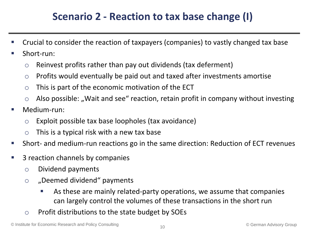# **Scenario 2 - Reaction to tax base change (I)**

- Crucial to consider the reaction of taxpayers (companies) to vastly changed tax base
- Short-run:
	- $\circ$  Reinvest profits rather than pay out dividends (tax deferment)
	- o Profits would eventually be paid out and taxed after investments amortise
	- $\circ$  This is part of the economic motivation of the ECT
	- $\circ$  Also possible: "Wait and see" reaction, retain profit in company without investing
- Medium-run:
	- o Exploit possible tax base loopholes (tax avoidance)
	- $\circ$  This is a typical risk with a new tax base
- Short- and medium-run reactions go in the same direction: Reduction of ECT revenues
- 3 reaction channels by companies
	- o Dividend payments
	- $\circ$  "Deemed dividend" payments
		- As these are mainly related-party operations, we assume that companies can largely control the volumes of these transactions in the short run
	- o Profit distributions to the state budget by SOEs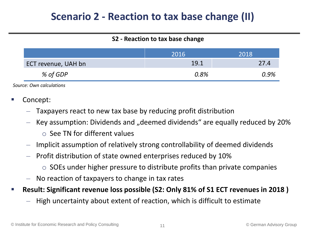### **Scenario 2 - Reaction to tax base change (II)**

#### **S2 - Reaction to tax base change**

|                     | 2016' | 2018 |
|---------------------|-------|------|
| ECT revenue, UAH bn | 19.1  | 27.4 |
| % of GDP            | 0.8%  | 0.9% |

*Source: Own calculations*

- Concept:
	- Taxpayers react to new tax base by reducing profit distribution
	- $-$  Key assumption: Dividends and "deemed dividends" are equally reduced by 20%
		- $\circ$  See TN for different values
	- Implicit assumption of relatively strong controllability of deemed dividends
	- Profit distribution of state owned enterprises reduced by 10%
		- $\circ$  SOEs under higher pressure to distribute profits than private companies
	- No reaction of taxpayers to change in tax rates
- **Result: Significant revenue loss possible (S2: Only 81% of S1 ECT revenues in 2018 )**
	- High uncertainty about extent of reaction, which is difficult to estimate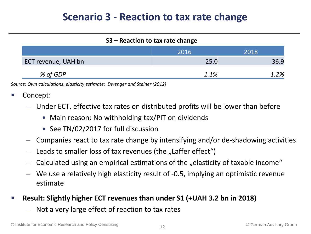### **Scenario 3 - Reaction to tax rate change**

| S3 – Reaction to tax rate change |      |      |  |  |  |
|----------------------------------|------|------|--|--|--|
|                                  | 2016 | 2018 |  |  |  |
| ECT revenue, UAH bn              | 25.0 | 36.9 |  |  |  |
| % of GDP                         | 1.1% | 1.2% |  |  |  |

*Source: Own calculations, elasticity estimate: Dwenger and Steiner (2012)*

- Concept:
	- Under ECT, effective tax rates on distributed profits will be lower than before
		- Main reason: No withholding tax/PIT on dividends
		- See TN/02/2017 for full discussion
	- Companies react to tax rate change by intensifying and/or de-shadowing activities
	- Leads to smaller loss of tax revenues (the "Laffer effect")
	- Calculated using an empirical estimations of the "elasticity of taxable income"
	- We use a relatively high elasticity result of -0.5, implying an optimistic revenue estimate
- **Result: Slightly higher ECT revenues than under S1 (+UAH 3.2 bn in 2018)**
	- Not a very large effect of reaction to tax rates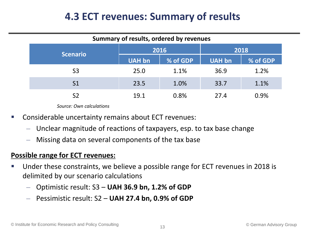### **4.3 ECT revenues: Summary of results**

| Summary of results, ordered by revenues |               |          |               |          |  |
|-----------------------------------------|---------------|----------|---------------|----------|--|
| <b>Scenario</b>                         | 2016          |          | 2018          |          |  |
|                                         | <b>UAH bn</b> | % of GDP | <b>UAH bn</b> | % of GDP |  |
| S <sub>3</sub>                          | 25.0          | 1.1%     | 36.9          | 1.2%     |  |
| S <sub>1</sub>                          | 23.5          | 1.0%     | 33.7          | 1.1%     |  |
| S <sub>2</sub>                          | 19.1          | 0.8%     | 27.4          | 0.9%     |  |

*Source: Own calculations*

- Considerable uncertainty remains about ECT revenues:
	- Unclear magnitude of reactions of taxpayers, esp. to tax base change
	- Missing data on several components of the tax base

#### **Possible range for ECT revenues:**

- Under these constraints, we believe a possible range for ECT revenues in 2018 is delimited by our scenario calculations
	- Optimistic result: S3 **UAH 36.9 bn, 1.2% of GDP**
	- Pessimistic result: S2 **UAH 27.4 bn, 0.9% of GDP**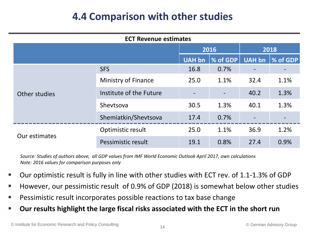## **4.4 Comparison with other studies**

| <b>ECT Revenue estimates</b> |                         |        |                 |               |          |
|------------------------------|-------------------------|--------|-----------------|---------------|----------|
|                              |                         | 2016   |                 | 2018          |          |
|                              |                         | UAH bn | <b>% of GDP</b> | <b>UAH bn</b> | % of GDP |
| Other studies                | <b>SFS</b>              | 16.8   | 0.7%            |               |          |
|                              | Ministry of Finance     | 25.0   | 1.1%            | 32.4          | 1.1%     |
|                              | Institute of the Future |        |                 | 40.2          | 1.3%     |
|                              | Shevtsova               | 30.5   | 1.3%            | 40.1          | 1.3%     |
|                              | Shemiatkin/Shevtsova    | 17.4   | 0.7%            |               |          |
| Our estimates                | Optimistic result       | 25.0   | 1.1%            | 36.9          | 1.2%     |
|                              | Pessimistic result      | 19.1   | 0.8%            | 27.4          | 0.9%     |

*Source: Studies of authors above, all GDP values from IMF World Economic Outlook April 2017, own calculations Note: 2016 values for comparison purposes only*

- Our optimistic result is fully in line with other studies with ECT rev. of 1.1-1.3% of GDP
- However, our pessimistic result of 0.9% of GDP (2018) is somewhat below other studies
- Pessimistic result incorporates possible reactions to tax base change
- **Our results highlight the large fiscal risks associated with the ECT in the short run**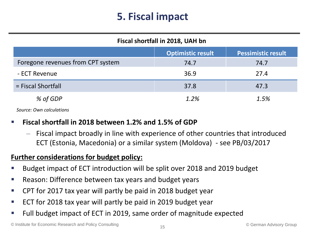# **5. Fiscal impact**

| Fiscal shortfall in 2018, UAH bn  |                          |                           |  |  |
|-----------------------------------|--------------------------|---------------------------|--|--|
|                                   | <b>Optimistic result</b> | <b>Pessimistic result</b> |  |  |
| Foregone revenues from CPT system | 74.7                     | 74.7                      |  |  |
| - ECT Revenue                     | 36.9                     | 27.4                      |  |  |
| $=$ Fiscal Shortfall              | 37.8                     | 47.3                      |  |  |
| % of GDP                          | 1.2%                     | 1.5%                      |  |  |

*Source: Own calculations*

#### **Fiscal shortfall in 2018 between 1.2% and 1.5% of GDP**

– Fiscal impact broadly in line with experience of other countries that introduced ECT (Estonia, Macedonia) or a similar system (Moldova) - see PB/03/2017

#### **Further considerations for budget policy:**

- Budget impact of ECT introduction will be split over 2018 and 2019 budget
- Reason: Difference between tax years and budget years
- CPT for 2017 tax year will partly be paid in 2018 budget year
- ECT for 2018 tax year will partly be paid in 2019 budget year
- Full budget impact of ECT in 2019, same order of magnitude expected

© Institute for Economic Research and Policy Consulting © German Advisory Group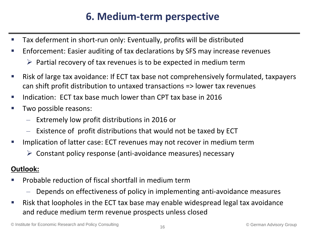# **6. Medium-term perspective**

- Tax deferment in short-run only: Eventually, profits will be distributed
- **E** Enforcement: Easier auditing of tax declarations by SFS may increase revenues
	- $\triangleright$  Partial recovery of tax revenues is to be expected in medium term
- Risk of large tax avoidance: If ECT tax base not comprehensively formulated, taxpayers can shift profit distribution to untaxed transactions => lower tax revenues
- Indication: ECT tax base much lower than CPT tax base in 2016
- **Two possible reasons:** 
	- Extremely low profit distributions in 2016 or
	- Existence of profit distributions that would not be taxed by ECT
- Implication of latter case: ECT revenues may not recover in medium term
	- $\triangleright$  Constant policy response (anti-avoidance measures) necessary

#### **Outlook:**

- Probable reduction of fiscal shortfall in medium term
	- Depends on effectiveness of policy in implementing anti-avoidance measures
- Risk that loopholes in the ECT tax base may enable widespread legal tax avoidance and reduce medium term revenue prospects unless closed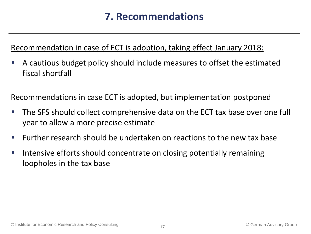### **7. Recommendations**

#### Recommendation in case of ECT is adoption, taking effect January 2018:

 A cautious budget policy should include measures to offset the estimated fiscal shortfall

#### Recommendations in case ECT is adopted, but implementation postponed

- The SFS should collect comprehensive data on the ECT tax base over one full year to allow a more precise estimate
- **Further research should be undertaken on reactions to the new tax base**
- **IF Intensive efforts should concentrate on closing potentially remaining** loopholes in the tax base